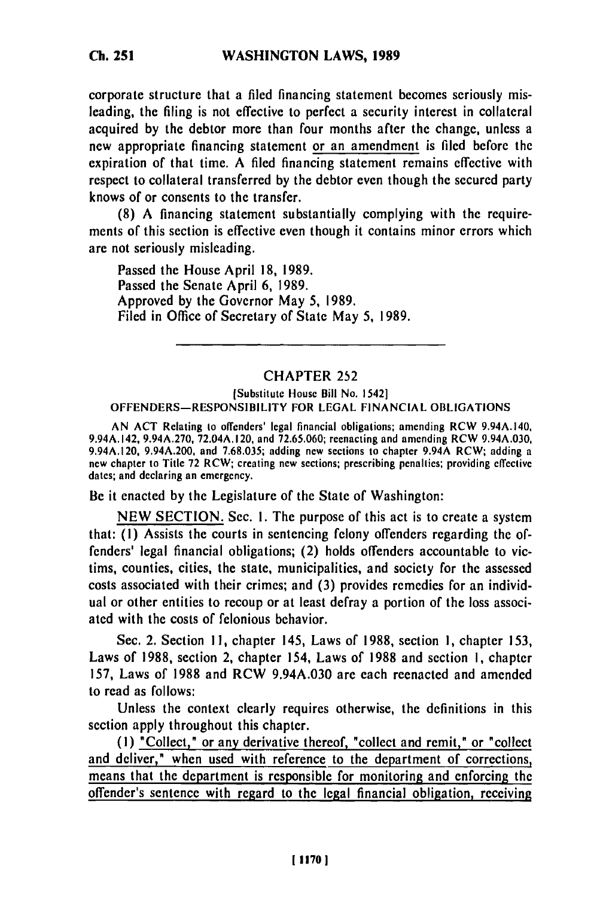corporate structure that a filed financing statement becomes seriously misleading, the filing is not effective to perfect a security interest in collateral acquired **by** the debtor more than four months after the change, unless a new appropriate financing statement or an amendment is filed before the expiration of that time. **A** filed financing statement remains effective with respect to collateral transferred **by** the debtor even though the secured party knows of or consents to the transfer.

**(8) A** financing statement substantially complying with the requirements of this section is effective even though it contains minor errors which are not seriously misleading.

Passed the House April **18, 1989.** Passed the Senate April **6, 1989.** Approved **by** the Governor May **5, 1989.** Filed in Office of Secretary of State May **5, 1989.**

## **CHAPTER 252**

## [Substitute House Bill No. 1542] OFFENDERS-RESPONSIBILITY FOR **LEGAL FINANCIAL OBLIGATIONS**

**AN ACT** Relating to offenders' legal financial obligations; amending RCW 9.94A.140, 9.94A.142, **9.94A.270,** 72.04A.120, and **72.65,060;** reenacting and amending RCW 9.94A.030, 9.94A.120, 9.94A.200, and **7.68.035;** adding new sections to chapter 9.94A RCW; adding a new chapter to Title **72** RCW; creating new sections; prescribing penalties; providing effective  $\frac{d}{dx}$  chapter to true 12 KC w; cre

Be it enacted **by** the Legislature of the State of Washington:

**NEW SECTION.** Sec. **I.** The purpose of this act is to create a system that: **(1)** Assists the courts in sentencing felony offenders regarding the offenders' legal financial obligations; (2) holds offenders accountable to victims, counties, cities, the state, municipalities, and society for the assessed costs associated with their crimes; and **(3)** provides remedies for an individual or other entities to recoup or at least defray a portion of the loss associated with the costs of felonious behavior.

Sec. 2. Section **11,** chapter 145, Laws of **1988,** section **1,** chapter **153,** Laws of **1988,** section 2, chapter 154, Laws of **1988** and section **1,** chapter **157,** Laws of **1988** and RCW 9.94A.030 are each reenacted and amended to read as follows:

Unless the context clearly requires otherwise, the definitions in this section apply throughout this chapter.

**(1)** "Collect," or any derivative thereof, "collect and remit," or "collect and deliver," when used with reference to the department of corrections, means that the department is responsible for monitoring and enforcing the offender's sentence with regard to the legal financial obligation, receiving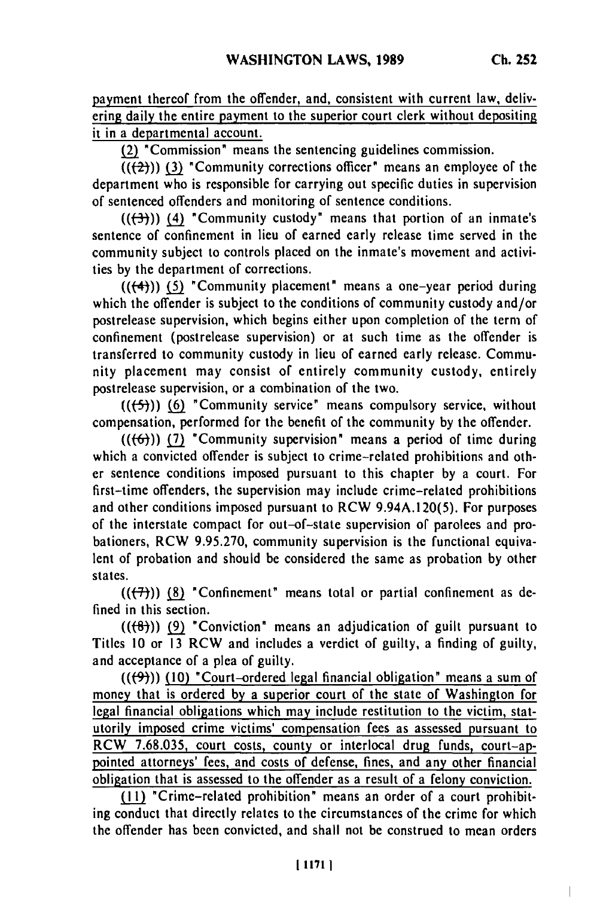payment thereof from the offender, and, consistent with current law, delivering daily the entire payment to the superior court clerk without depositing **it** in a departmental account.

**(2)** "Commission" means the sentencing guidelines commission.

 $\overline{((2)}$ )) (3) "Community corrections officer" means an employee of the department who is responsible for carrying out specific duties in supervision of sentenced offenders and monitoring of sentence conditions.

**(((-3-))) (4)** "Community custody" means that portion of an inmate's sentence of confinement in lieu of earned early release time served in the community subject to controls placed on the inmate's movement and activities **by** the department of corrections.

**(((-4"))) (5)** "Community placement" means a one-year period during which the offender is subject to the conditions of community custody and/or postrelease supervision, which begins either upon completion of the term of confinement (postrelease supervision) or at such time as the offender is transferred to community custody in lieu of earned early release. Community placement may consist of entirely community custody, entirely postrelease supervision, or a combination of the two.

**(((-5-)) (6)** "Community service" means compulsory service, without compensation, performed for the benefit of the community **by** the offender.

 $((\{f\}))(7)$  "Community supervision" means a period of time during which a convicted offender is subject to crime-related prohibitions and other sentence conditions imposed pursuant to this chapter **by** a court. For first-time offenders, the supervision may include crime-related prohibitions and other conditions imposed pursuant to RCW 9.94A. 120(5). For purposes of the interstate compact for out-of-state supervision of parolees and probationers, RCW **9.95.270,** community supervision is the functional equivalent of probation and should be considered the same as probation **by** other states.

 $((+7))$  (8) "Confinement" means total or partial confinement as defined in this section.

*(((f))* **(9)** "Conviction" means an adjudication of guilt pursuant to Titles **10** or **13** RCW and includes a verdict of guilty, a finding of guilty, and acceptance of a **plea** of guilty.

(((94)) **(10)** "Court-ordered legal financial obligation" means a sum of money that is ordered **by** a superior court of the state of Washington for legal financial obligations which may include restitution to the victim, statutorily imposed crime victims' compensation fees as assessed pursuant to RCW **7.68.035,** court costs, county or interlocal drug funds, court-appointed attorneys' fees, and costs of defense, fines, and any other financial obligation that is assessed to the offender as a result of a felony conviction.

**(11)** "Crime-related prohibition" means an order of a court prohibiting conduct that directly relates to the circumstances of the crime for which the offender has been convicted, and shall not be construed to mean orders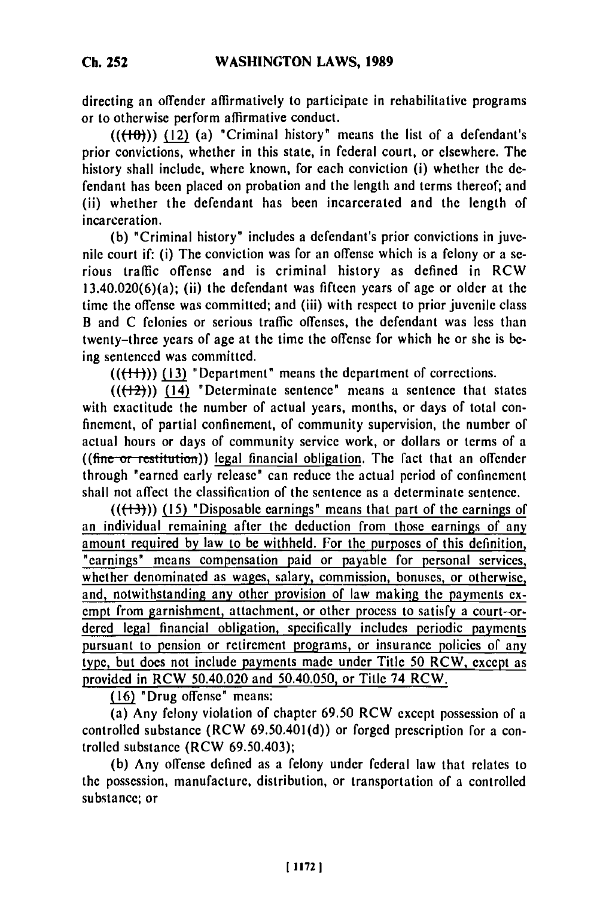directing an offender affirmatively to participate in rehabilitative programs or to otherwise perform affirmative conduct.

 $((\{+0\})$ )  $(12)$  (a) "Criminal history" means the list of a defendant's prior convictions, whether in this state, in federal court, or elsewhere. The history shall include, where known, for each conviction (i) whether the defendant has been placed on probation and the length and terms thereof; and (ii) whether the defendant has been incarcerated and the length of incarceration.

**(b)** "Criminal history" includes a defendant's prior convictions in juvenile court if: (i) The conviction was for an offense which is a felony or a serious traffic offense and is criminal history as defined in RCW 13.40.020(6)(a); (ii) the defendant was fifteen years of age or older at the time the offense was committed; and (iii) with respect to prior juvenile class B and **C** felonies or serious traffic offenses, the defendant was less than twenty-three years of age at the time the offense for which he or she is **be**ing sentenced was committed.

 $((\{+) \})$  (13) "Department" means the department of corrections.

 $((+2))$   $(14)$  "Determinate sentence" means a sentence that states with exactitude the number of actual years, months, or days of total confinement, of partial confinement, of community supervision, the number of actual hours or days of community service work, or dollars or terms of a ((fine or restitution)) legal financial obligation. The fact that an offender through "earned early release" can reduce the actual period of confinement shall not affect the classification of the sentence as a determinate sentence.

**(((--3-)) (15)** "Disposable earnings" means that part of the earnings **of** an individual remaining after the deduction from those earnings of any amount required by law to be withheld. For the purposes of this definition, "earnings" means compensation paid or payable for personal services, whether denominated as wages, salary, commission, bonuses, or otherwise, and, notwithstanding any other provision of law making the payments exempt from garnishment, attachment, or other process to satisfy a court-or**dered** legal financial obligation, specifically includes periodic payments pursuant to pension or retirement programs, or insurance policies of any type, but does not include payments made under Title **50** RCW, except as provided in RCW 50.40.020 and 50.40.050, or Title 74 RCW.

(16) "Drug offense" means:

(a) Any felony violation of chapter 69.50 RCW except possession of a controlled substance (RCW 69.50.401(d)) or forged prescription for a controlled substance (RCW 69.50.403);

**(b)** Any offense defined as a felony under federal law that relates to the possession, manufacture, distribution, or transportation of a controlled substance; or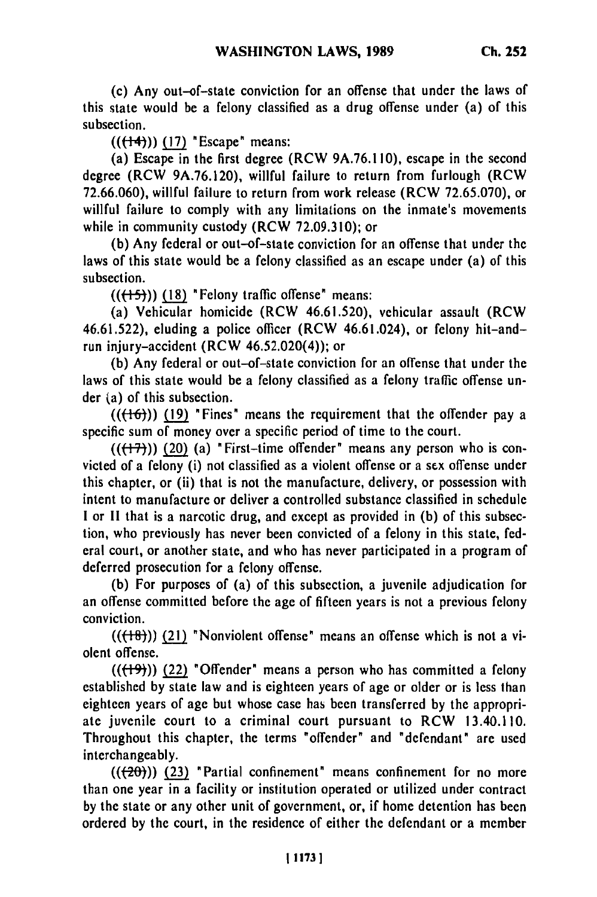(c) Any out-of-state conviction for an offense that under the laws of this state would be a felony classified as a drug offense under (a) of this subsection.

**(((-1-4)) (17)** "Escape" means:

(a) Escape in the first degree (RCW **9A.76.1 10),** escape in the second degree (RCW **9A.76.120),** willful failure to return from furlough (RCW **72.66.060),** willful failure to return from work release (RCW **72.65.070),** or willful failure to comply with any limitations on the inmate's movements while in community custody (RCW **72.09.310);** or

**(b)** Any federal or out-of-state conviction for an offense that under the laws of this state would be a felony classified as an escape under (a) of this subsection.

**(((+5-)) (18)** "Felony traffic offense" means:

(a) Vehicular homicide (RCW **46.61.520),** vehicular assault (RCW 46.61.522), eluding a police officer (RCW 46.61.024), or felony hit-andrun injury-accident (RCW 46.52.020(4)); or

**(b)** Any federal or out-of-state conviction for an offense that under the laws of this state would be a felony classified as a felony traffic offense under (a) of this subsection.

 $((\{+6\})$ ) (19) "Fines" means the requirement that the offender pay a specific sum of money over a specific period of time to the court.

 $((+7))$  (20) (a) "First-time offender" means any person who is convicted of a felony (i) not classified as a violent offense or a sex offense under this chapter, or (ii) that is not the manufacture, delivery, or possession with intent to manufacture or deliver a controlled substance classified in schedule I or II that is a narcotic drug, and except as provided in **(b)** of this subsection, who previously has never been convicted of a felony in this state, **fed**eral court, or another state, and who has never participated in a program of deferred prosecution for a felony offense.

**(b)** For purposes of (a) of this subsection, a juvenile adjudication for an offense committed before the age of fifteen years is not a previous felony conviction.

 $((\text{+18-}))$  (21) "Nonviolent offense" means an offense which is not a violent offense.

 $((+9))$  (22) "Offender" means a person who has committed a felony established **by** state law and is eighteen years of age or older or is less than eighteen years of age but whose case has been transferred **by** the appropriate juvenile court to a criminal court pursuant to RCW 13.40.110. Throughout this chapter, the terms "offender" and "defendant" are used interchangeably.

((20))) **(23)** "Partial confinement" means confinement for no more than one year in a facility or institution operated or utilized under contract **by** the state or any other unit of government, or, if home detention has been ordered **by** the court, in the residence of either the defendant or a member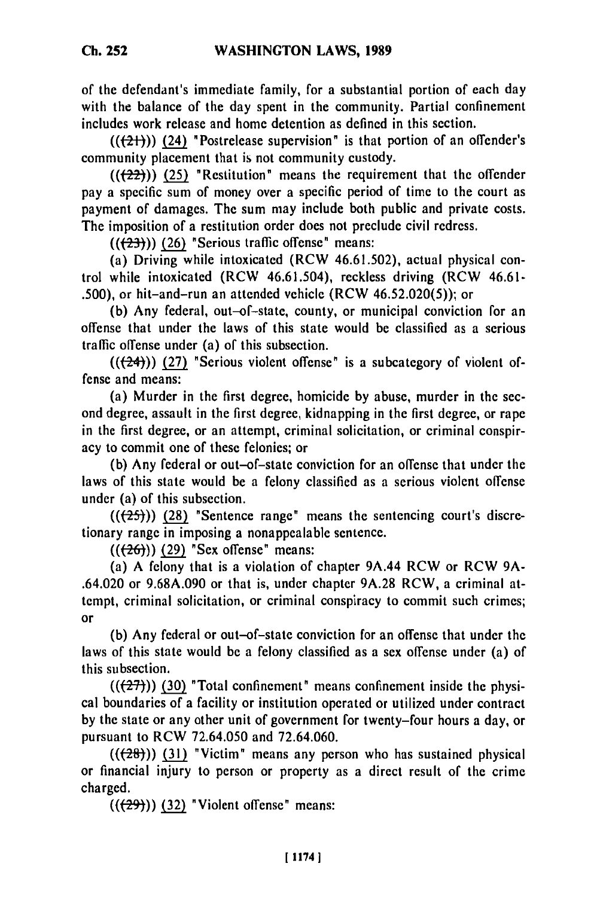of the defendant's immediate family, for a substantial portion of each day with the balance of the day spent in the community. Partial confinement includes work release and home detention as defined in this section.

 $((+2+))$  (24) "Postrelease supervision" is that portion of an offender's community placement that is not community custody.

**(((72-2-))) (25)** "Restitution" means the requirement that the offender pay a specific sum of money over a specific period of time to the court as payment of damages. The sum may include both public and private costs. The imposition of a restitution order does not preclude civil redress.

**(((2-3-)) (26)** "Serious traffic offense" means:

(a) Driving while intoxicated (RCW **46.61.502),** actual physical control while intoxicated (RCW 46.61.504), reckless driving (RCW 46.61- **.500),** or hit-and-run an attended vehicle (RCW **46.52.020(5));** or

**(b)** Any federal, out-of-state, county, or municipal conviction for an offense that under the laws of this state would be classified as a serious traffic offense under (a) of this subsection.

 $((24))$  (27) <sup>\*</sup>Serious violent offense<sup>\*</sup> is a subcategory of violent offense and means:

(a) Murder in the first degree, homicide **by** abuse, murder in the second degree, assault in the first degree, kidnapping in **the** first degree, or rape in the first degree, or an attempt, criminal solicitation, or criminal conspiracy to commit one of these felonies; or

**(b)** Any federal or out-of-state conviction for an offense that under the laws of this state would be a felony classified as a serious violent offense under (a) of this subsection.

 $((25))$  (28) "Sentence range" means the sentencing court's discretionary range in imposing a nonappealable sentence.

**(((26)) (29)** "Sex offense" means:

(a) **A** felony that is a violation of chapter 9A.44 RCW or RCW **9A-** .64.020 or **9.68A.090** or that is, under chapter **9A.28** RCW, a criminal attempt, criminal solicitation, or criminal conspiracy to commit such crimes; or

**(b)** Any federal or out-of-state conviction for an offense that under the laws of this state would be a felony classified as a sex offense under (a) of this subsection.

 $((27)$ ) (30) **"Total confinement"** means confinement inside the physical boundaries of a facility or institution operated or utilized under contract **by** the state or any other unit of government for twenty-four hours a day, or pursuant to RCW **72.64.050** and **72.64.060.**

 $((28))$  (31) "Victim" means any person who has sustained physical or financial injury to person or property as a direct result of the crime charged.

 $((29))$  (32) "Violent offense" means: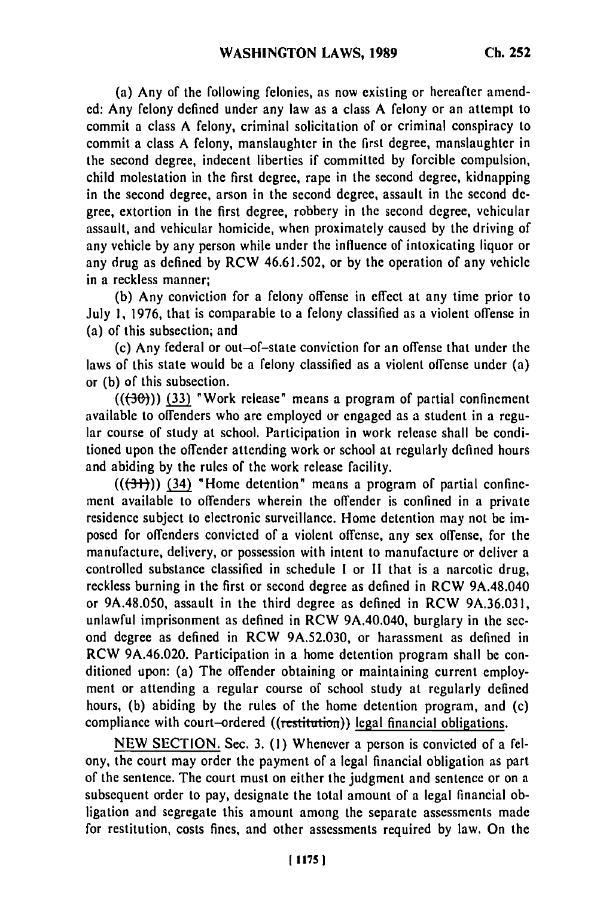(a) Any of the following felonies, as now existing or hereafter amended: Any felony defined under any law as a class A felony or an attempt to commit a class A felony, criminal solicitation of or criminal conspiracy to commit a class A felony, manslaughter in the first degree, manslaughter in the second degree, indecent liberties if committed by forcible compulsion, child molestation in the first degree, rape in the second degree, kidnapping in the second degree, arson in the second degree, assault in the second degree, extortion in the first degree, robbery in the second degree, vehicular assault, and vehicular homicide, when proximately caused by the driving of any vehicle by any person while under the influence of intoxicating liquor or any drug as defined by RCW 46.61.502, or by the operation of any vehicle in a reckless manner;

(b) Any conviction for a felony offense in effect at any time prior to July **1,** 1976, that is comparable to a felony classified as a violent offense in (a) of this subsection; and

(c) Any federal or out-of-state conviction for an offense that under the laws of this state would be a felony classified as a violent offense under (a) or (b) of this subsection.

 $((+30))$  (33) "Work release" means a program of partial confinement available to offenders who are employed or engaged as a student in a regular course of study at school. Participation in work release shall be conditioned upon the offender attending work or school at regularly defined hours and abiding by the rules of the work release facility.

 $((3+))$   $(34)$  "Home detention" means a program of partial confinement available to offenders wherein the offender is confined in a private residence subject to electronic surveillance. Home detention may not be imposed for offenders convicted of a violent offense, any sex offense, for the manufacture, delivery, or possession with intent to manufacture or deliver a controlled substance classified in schedule **I** or II that is a narcotic drug, reckless burning in the first or second degree as defined in RCW 9A.48.040 or 9A.48.050, assault in the third degree as defined in RCW 9A.36.031, unlawful imprisonment as defined in RCW 9A.40.040, burglary in the second degree as defined in RCW 9A.52.030, or harassment as defined in RCW 9A.46.020. Participation in a home detention program shall be conditioned upon: (a) The offender obtaining or maintaining current employment or attending a regular course of school study at regularly defined hours, (b) abiding by the rules of the home detention program, and (c) compliance with court-ordered ((restitution)) legal financial obligations.

**NEW SECTION.** Sec. **3. (1)** Whenever a person is convicted of a **fel**ony, the court may order the payment of a legal financial obligation as part of the sentence. The court must on either the judgment and sentence or on a subsequent order to pay, designate the total amount of a legal financial obligation and segregate this amount among the separate assessments made for restitution, costs fines, and other assessments required **by** law. On the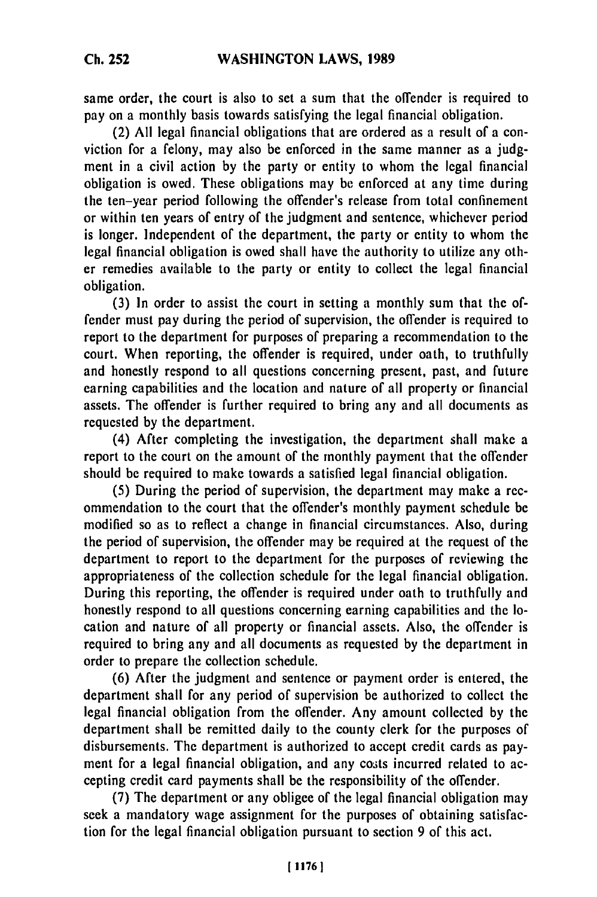same order, the court is also to set a sum that the offender is required to pay on a monthly basis towards satisfying the legal financial obligation.

(2) All legal financial obligations that are ordered as a result of a conviction for a felony, may also be enforced in the same manner as a judgment in a civil action **by** the party or entity to whom the legal financial obligation is owed, These obligations may **be** enforced at any time during the ten-year period following the offender's release from total confinement or within ten years of entry of the judgment and sentence, whichever period is longer. Independent of the department, the party or entity to whom the legal financial obligation is owed shall have the authority to utilize any other remedies available to the party or entity to collect the legal financial obligation.

**(3)** In order to assist the court in setting a monthly sum that the offender must pay during the period of supervision, the offender is required to report to the department for purposes of preparing a recommendation to the court. When reporting, the offender is required, under oath, to truthfully and honestly respond to all questions concerning present, past, and future earning capabilities and the location and nature of all property or financial assets. The offender is further required to bring any and all documents as requested **by** the department.

(4) After completing the investigation, the department shall make a report to the court on the amount of the monthly payment that the offender should be required to make towards a satisfied legal financial obligation.

**(5)** During the period of supervision, the department may make a recommendation to the court that the offender's monthly payment schedule be modified so as to reflect a change in financial circumstances. Also, during the period of supervision, the offender may be required at the request of the department to report to the department for the purposes of reviewing the appropriateness of the collection schedule for the legal financial obligation. During this reporting, the offender is required under oath to truthfully and honestly respond to all questions concerning earning capabilities and the location and nature of all property or financial assets. Also, the offender is required to bring any and all documents as requested **by** the department in order to prepare the collection schedule.

**(6)** After the judgment and sentence or payment order is entered, the department shall for any period of supervision be authorized to collect the legal financial obligation from the offender. Any amount collected **by** the department shall be remitted daily to the county clerk for the purposes of disbursements. The department is authorized to accept credit cards as payment for a legal financial obligation, and any costs incurred related to accepting credit card payments shall be the responsibility of the offender.

**(7)** The department or any obligee of the legal financial obligation may seek a mandatory wage assignment for the purposes of obtaining satisfaction for the legal financial obligation pursuant to section 9 of this act.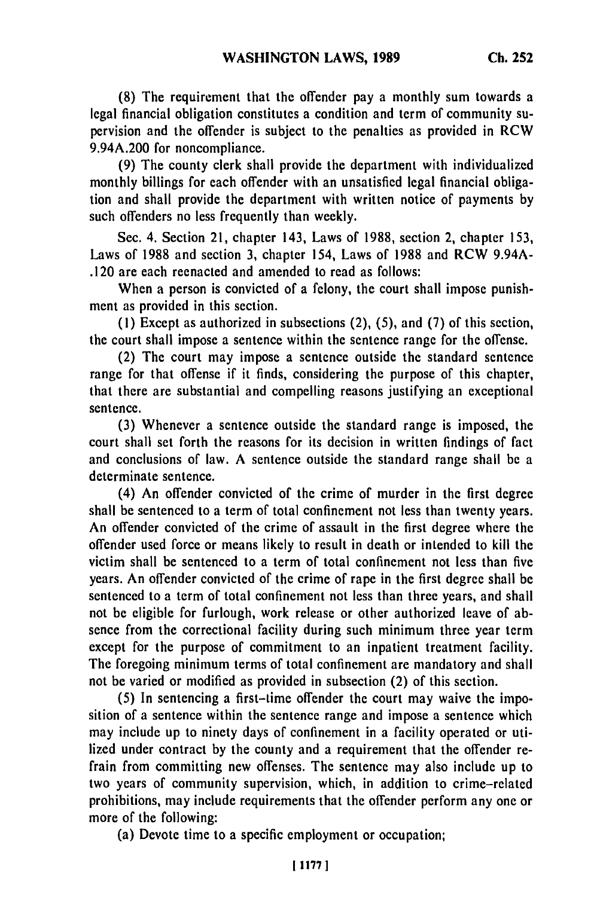**(8)** The requirement that the offender pay a monthly sum towards a legal financial obligation constitutes a condition and term of community supervision and the offender is subject to the penalties as provided in RCW 9.94A.200 for noncompliance.

(9) The county clerk shall provide the department with individualized monthly billings for each offender with an unsatisfied legal financial obligation and shall provide the department with written notice of payments **by** such offenders no less frequently than weekly.

Sec. 4. Section 21, chapter 143, Laws of **1988,** section 2, chapter 153, Laws of **1988** and section 3, chapter 154, Laws of **1988** and RCW 9.94A- .120 are each reenacted and amended to read as follows:

When a person is convicted of a felony, the court shall impose punishment as provided in this section.

**(1)** Except as authorized in subsections (2), (5), and (7) of this section, the court shall impose a sentence within the sentence range for the offense.

(2) The court may impose a sentence outside the standard sentence range for that offense if it finds, considering the purpose of this chapter, that there are substantial and compelling reasons justifying an exceptional sentence.

(3) Whenever a sentence outside the standard range is imposed, the court shall set forth the reasons for its decision in written findings of fact and conclusions of law. A sentence outside the standard range shall be a determinate sentence.

(4) An offender convicted of the crime of murder in the first degree shall be sentenced to a term of total confinement not less than twenty years. An offender convicted of the crime of assault in the first degree where the offender used force or means likely to result in death or intended to kill the victim shall be sentenced to a term of total confinement not less than five years. An offender convicted of the crime of rape in the first degree shall be sentenced to a term of total confinement not less than three years, and shall not be eligible for furlough, work release or other authorized leave of absence from the correctional facility during such minimum three year term except for the purpose of commitment to an inpatient treatment facility. The foregoing minimum terms of total confinement are mandatory and shall not be varied or modified as provided in subsection (2) of this section.

(5) In sentencing a first-time offender the court may waive the imposition of a sentence within the sentence range and impose a sentence which may include up to ninety days of confinement in a facility operated or utilized under contract **by** the county and a requirement that the offender refrain from committing new offenses. The sentence may also include up to two years of community supervision, which, in addition to crime-related prohibitions, may include requirements that the offender perform any one or more of the following:

(a) Devote time to a specific employment or occupation;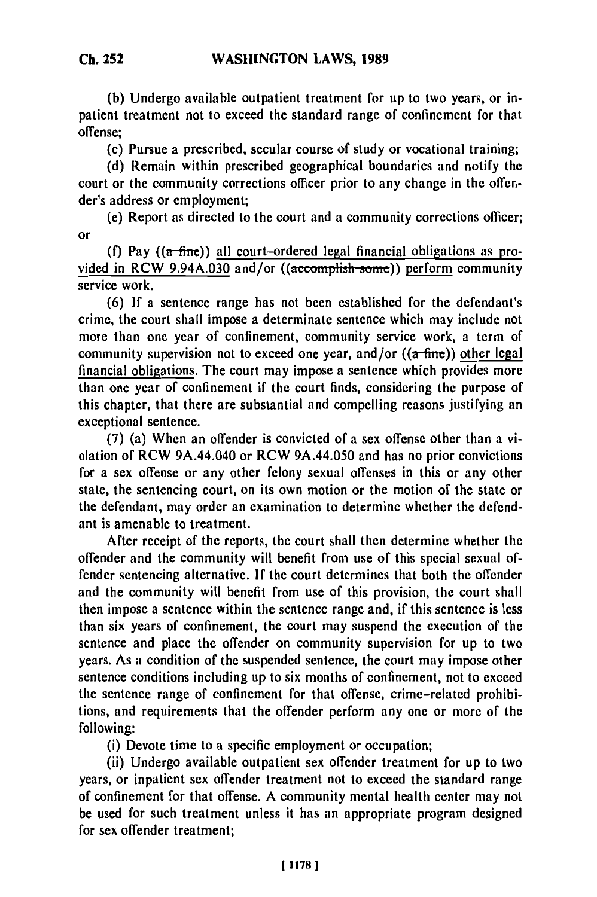**(b)** Undergo available outpatient treatment for up to two years, or inpatient treatment not to exceed the standard range of confinement for that offense;

(c) Pursue a prescribed, secular course of study or vocational training;

**(d)** Remain within prescribed geographical boundaries and notify the court or the community corrections officer prior to any change in the offender's address or employment;

(e) Report as directed to the court and a community corrections officer; or

**(f)** Pay **((a-fine))** all court-ordered legal financial obligations as provided in RCW 9.94A.030 and/or ((accomplish sone)) perform community service work.

**(6) If** a sentence range has not been established for the defendant's crime, the court shall impose a determinate sentence which may include not more than one year of confinement, community service work, a term of community supervision not to exceed one year, and/or **((a-fine))** other legal financial obligations. The court may impose a sentence which provides more than one year of confinement if the court finds, considering the purpose of this chapter, that there are substantial and compelling reasons justifying an exceptional sentence.

**(7)** (a) When an offender is convicted of a sex offense other than a violation of RCW 9A.44.040 or RCW 9A.44.050 and has no prior convictions for a sex offense or any other felony sexual offenses in this or any other state, the sentencing court, on its own motion or the motion of the state or the defendant, may order an examination to determine whether the defendant is amenable to treatment.

After receipt of the reports, the court shall then determine whether the offender and the community will benefit from use of this special sexual offender sentencing alternative. **If** the court determines that both the offender and the community will benefit from use of this provision, the court shall then impose a sentence within the sentence range and, if this sentence is less than six years of confinement, the court may suspend the execution of the sentence and place the offender on community supervision for up to two years. As a condition of the suspended sentence, the court may impose other sentence conditions including up to six months of confinement, not to exceed the sentence range of confinement for that offense, crime-related prohibitions, and requirements that the offender perform any one or more of the following:

(i) Devote time to a specific employment or occupation;

(ii) Undergo available outpatient sex offender treatment for up to two years, or inpatient sex offender treatment not to exceed the standard range of confinement for that offense. **A** community mental health center may not be used for such treatment unless it has an appropriate program designed for sex offender treatment;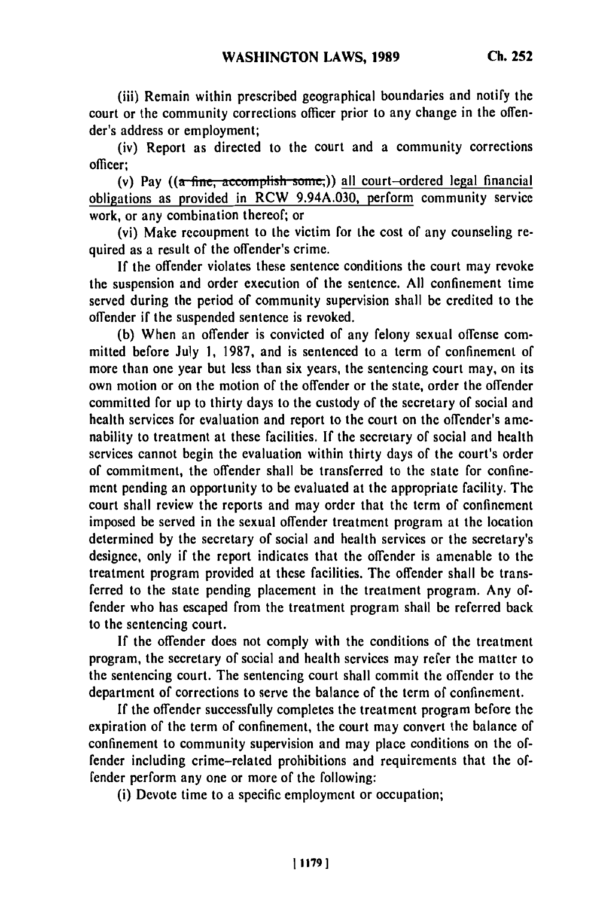(iii) Remain within prescribed geographical boundaries and notify the court or the community corrections officer prior to any change in the offender's address or employment;

(iv) Report as directed to the court and a community corrections officer;

(v) Pay  $((a$  fine, accomplish some,)) all court-ordered legal financial obligations as provided in RCW 9.94A.030, perform community service work, or any combination thereof; or

(vi) Make recoupment to the victim for the cost of any counseling required as a result of the offender's crime.

If the offender violates these sentence conditions the court may revoke the suspension and order execution of the sentence. All confinement time served during the period of community supervision shall be credited to the offender if the suspended sentence is revoked.

(b) When an offender is convicted of any felony sexual offense committed before July 1, 1987, and is sentenced to a term of confinement of more than one year but less than six years, the sentencing court may, on its own motion or on the motion of the offender or the state, order the offender committed for up to thirty days to the custody of the secretary of social and health services for evaluation and report to the court on the offender's amenability to treatment at these facilities. If the secretary of social and health services cannot begin the evaluation within thirty days of the court's order of commitment, the offender shall be transferred to the state for confinement pending an opportunity to be evaluated at the appropriate facility. The court shall review the reports and may order that the term of confinement imposed be served in the sexual offender treatment program at the location determined by the secretary of social and health services or the secretary's designee, only if the report indicates that the offender is amenable to the treatment program provided at these facilities. The offender shall be transferred to the state pending placement in the treatment program. Any offender who has escaped from the treatment program shall be referred back to the sentencing court.

If the offender does not comply with the conditions of the treatment program, the secretary of social and health services may refer the matter to the sentencing court. The sentencing court shall commit the offender to the department of corrections to serve the balance of the term of confinement.

If the offender successfully completes the treatment program before the expiration of the term of confinement, the court may convert the balance of confinement to community supervision and may place conditions on the offender including crime-related prohibitions and requirements that the offender perform any one or more of the following:

(i) Devote time to a specific employment or occupation;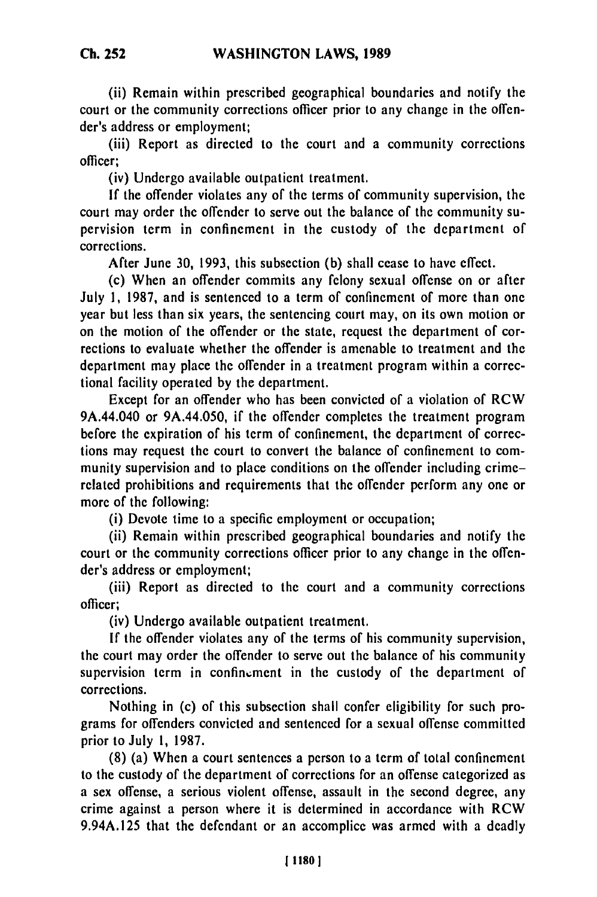(ii) Remain within prescribed geographical boundaries and notify the court or the community corrections officer prior to any change in the offender's address or employment;

(iii) Report as directed to the court and a community corrections officer;

(iv) Undergo available outpatient treatment.

**If** the offender violates any of the terms of community supervision, the court may order the offender to serve out the balance of the community supervision term in confinement in the custody of the department of corrections.

After June **30, 1993,** this subsection **(b)** shall cease to have effect.

(c) When an offender commits any felony sexual offense on or after July **1, 1987,** and is sentenced to a term of confinement of more than one year but less than six years, the sentencing court may, on its own motion or on the motion of the offender or the state, request the department of corrections to evaluate whether the offender is amenable to treatment **and** the department may place the offender in a treatment program within a correctional facility operated **by** the department.

Except for an offender who has been convicted of a violation of RCW 9A.44.040 or 9A.44.050, if the offender completes the treatment program before the expiration of his term of confinement, the department of corrections may request the court to convert the balance of confinement to community supervision and to place conditions on the offender including crimerelated prohibitions and requirements that the offender perform any one or more of the following:

(i) Devote time to a specific employment or occupation;

(ii) Remain within prescribed geographical boundaries and notify the court or the community corrections officer prior to any change in the offender's address or employment;

(iii) Report as directed to the court and a community corrections officer;

(iv) Undergo available outpatient treatment.

**If** the offender violates any of the terms of his community supervision, the court may order the offender to serve out the balance of his community supervision term in confinement in the custody of the department of corrections.

Nothing in (c) of this subsection shall confer eligibility for such programs for offenders convicted and sentenced for a sexual offense committed prior to July **1, 1987.**

**(8)** (a) When a court sentences a person to a term of total confinement to the custody of the department of corrections for an offense categorized as a sex offense, a serious violent offense, assault in the second degree, any crime against a person where it is determined in accordance with RCW 9.94A.125 that the defendant or an accomplice was armed with a deadly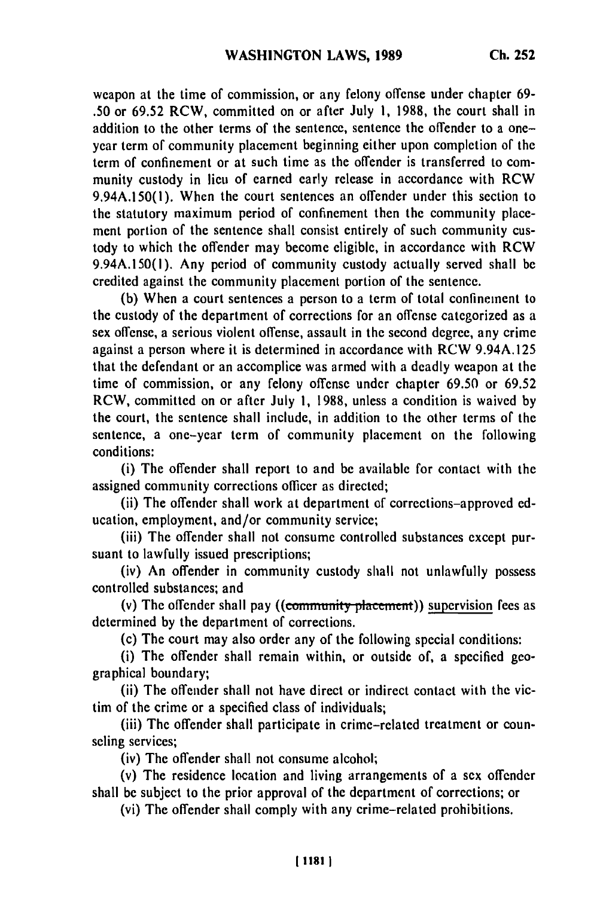weapon at the time of commission, or any felony offense under chapter **69- .50** or **69.52** RCW, committed on or after July **1, 1988,** the court shall in addition to the other terms of the sentence, sentence the offender to a oneyear term of community placement beginning either upon completion of the term of confinement or at such time as the offender is transferred to community custody in lieu of earned early release in accordance with RCW **9.94A.150(l).** When the court sentences an offender under this section to the statutory maximum period of confinement then the community placement portion of the sentence shall consist entirely of such community custody to which the offender may become eligible, in accordance with RCW **9.94A.150(l).** Any period of community custody actually served shall be credited against the community placement portion of the sentence.

**(b)** When a court sentences a person to a term of total confinement to the custody of the department of corrections for an offense categorized as a sex offense, a serious violent offense, assault in the second degree, any crime against a person where it is determined in accordance with RCW 9.94A.125 that the defendant or an accomplice was armed with a deadly weapon at the time of commission, or any felony offense under chapter **69.50** or **69.52** RCW, committed on or after July **1, 1988,** unless a condition is waived **by** the court, the sentence shall include, in addition to the other terms of the sentence, a one-year term of community placement on the following conditions:

(i) The offender shall report to and be available for contact with the assigned community corrections officer as directed;

(ii) The offender shall work at department of corrections-approved **ed**ucation, employment, and/or community service;

(iii) The offender shall not consume controlled substances except pursuant to lawfully issued prescriptions;

(iv) An offender in community custody shall not unlawfully possess controlled substances; and

(v) The offender shall pay ((community placement)) supervision fees as determined **by** the department of corrections.

(c) The court may also order any of the following special conditions:

(i) The offender shall remain within, or outside of, a specified geographical boundary;

(ii) The offender shall not have direct or indirect contact with the victim of the crime or a specified class of individuals;

(iii) The offender shall participate in crime-related treatment or counseling services;

(iv) The offender shall not consume alcohol;

(v) The residence location and living arrangements of a sex offender shall be subject to the prior approval of the department of corrections; or

(vi) The offender shall comply with any crime-related prohibitions.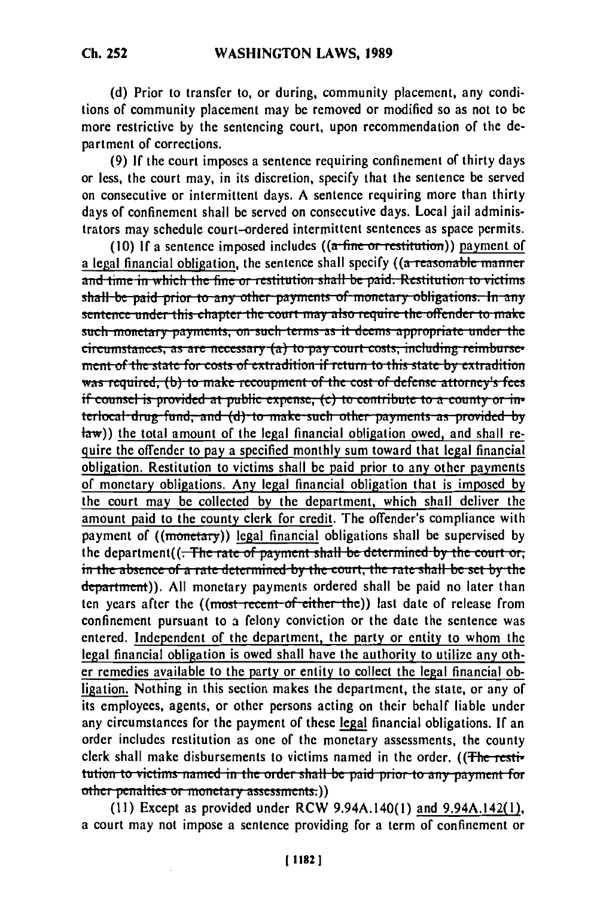**(d)** Prior to transfer to, or during, community placement, any conditions of community placement may be removed or modified so as not to be more restrictive **by** the sentencing court, upon recommendation of the department of corrections.

**(9) If** the court imposes a sentence requiring confinement of thirty days or less, the court may, in its discretion, specify that the sentence be served on consecutive or intermittent days. **A** sentence requiring more than thirty days of confinement shall be served on consecutive days. Local jail administrators may schedule court-ordered intermittent sentences as space permits.

(10) If a sentence imposed includes  $((a - fine - or + restitution))$  payment of a legal financial obligation, the sentence shall specify ((a reasonable manner and time in which the fine or restitution shall be paid. Restitution to victims shall be paid prior to any other payments of monetary obligations. In any sentence under this chapter the court may also require the offender to make such monetary payments, on such terms as it deems appropriate under the circumstances, as are necessary (a) to pay court costs, including reimburse**numerate** *for costs of extradition if return to this state by extradition*  $\overline{\phantom{a}}$ was required, (b) to make recoupment of the cost of defense attorney's fees<br>if counsel is provided at public expense, (c) to contribute to a county or in**terlocal drug fund, and (d) to make such other payments as provided by**  $\frac{1}{2}$  (the total amount of the legal financial obligation owed, and shall require the offender to pay a specified monthly sum toward that legal financial obligation. Restitution to victims shall be paid prior to any other payments of monetary obligations. Any legal financial obligation that is imposed **by** the court may be collected **by** the department, which shall deliver the amount paid to the county clerk for credit. The offender's compliance with payment of ((monetary)) legal financial obligations shall be supervised **by** the department((<del>; The rate of payment shall be determined by the court or.</del> ine department()<del>. The rate of payment shall be determined by the court or,</del><br>in the absence of a rate determined by the court, the rate shall be set by the department)). **All** monetary payments ordered shall **be** paid no later than ten years after the ((most recent of either the)) last date of release from confinement pursuant to a felony conviction or the date the sentence was entered. Independent of the department, the party or entity to whom the legal financial obligation is owed shall have the authority to utilize any other remedies available to the party or entity to collect the legal financial obligation. Nothing in this section makes the department, the state, or any of its employees, agents, or other persons acting on their behalf liable under any circumstances for the payment of these legal financial obligations. **If** an order includes restitution as one of the monetary assessments, the county clerk shall make disbursements to victims named in the order. ((The restitution to victims named in the order shall be paid prior to any payment for other penalties or monetary assessments.))

(II) Except as provided under RCW 9.94A.140(1) and 9.94A.142(I), a court may not impose a sentence providing for a term of confinement or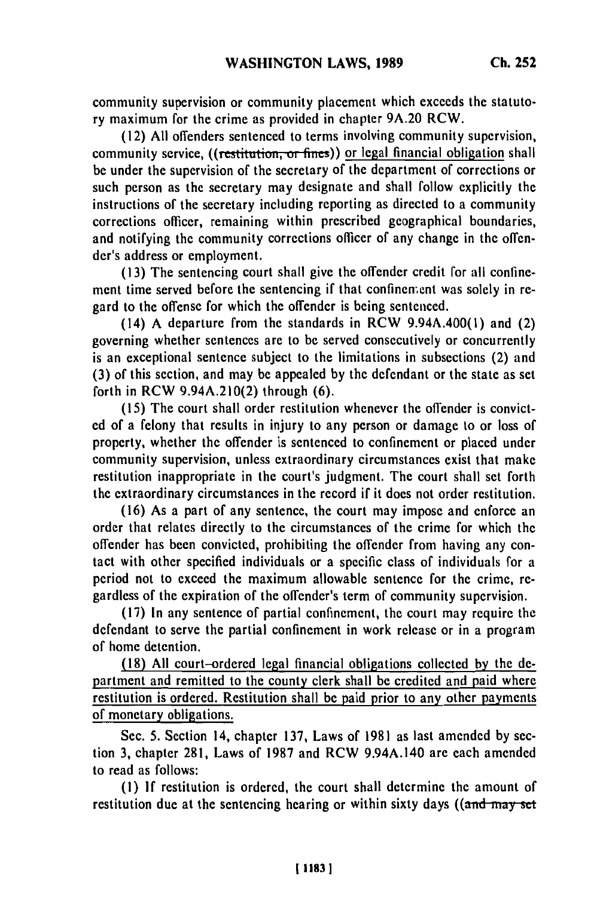community supervision or community placement which exceeds the statutory maximum for the crime as provided in chapter **9A.20** RCW.

**(12) All** offenders sentenced to terms involving community supervision, community service, ((restitution, or fines)) or legal financial obligation shall be under the supervision of the secretary of the department of corrections or such person as the secretary may designate and shall follow explicitly the instructions of the secretary including reporting as directed to a community corrections officer, remaining within prescribed geographical boundaries, and notifying the community corrections officer of any change in the offender's address or employment.

**(13)** The sentencing court shall give the offender credit for all confinement time served before the sentencing if that confinenent was solely in regard to the offense for which the offender is being sentenced.

(14) **A** departure from the standards in RCW 9.94A.400(l) and (2) governing whether sentences are to **be** served consecutively or concurrently is an exceptional sentence subject to the limitations in subsections (2) and **(3)** of this section, and may be appealed **by** the defendant or the state as set forth in RCW 9.94A.210(2) through **(6).**

**(15)** The court shall order restitution whenever the offender is convict**ed** of a felony that results in injury to any person or damage to or loss of property, whether the offender is sentenced to confinement or placed under community supervision, unless extraordinary circumstances exist that make restitution inappropriate in the court's judgment. The court shall set forth the extraordinary circumstances in the record if it does not order restitution.

**(16)** As a part of any sentence, the court may impose and enforce an order that relates directly to the circumstances of the crime for which the offender has been convicted, prohibiting the offender from having any contact with other specified individuals or a specific class of individuals for a period not to exceed the maximum allowable sentence for the crime, regardless of the expiration of the offender's term of community supervision.

**(17)** In any sentence of partial confinement, the court may require the defendant to serve the partial confinement in work release or in a program of home detention.

**(18) All** court-ordered legal financial obligations collected **by** the **de**partment and remitted to the county clerk shall **be** credited and paid where restitution is ordered. Restitution shall be paid prior to any other payments of monetary obligations.

Sec. **5.** Section 14, chapter **137,** Laws of **1981** as last amended **by** section **3,** chapter **281,** Laws of **1987** and RCW 9.94A.140 are each amended to read as follows:

**(1) If** restitution is ordered, the court shall determine the amount of restitution due at the sentencing hearing or within sixty days **((and-may-st**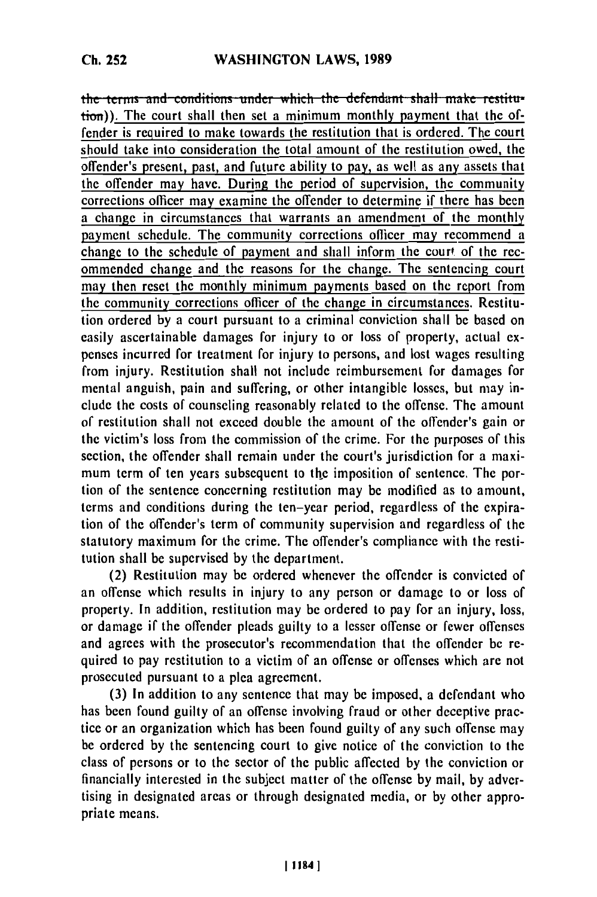**Ch. 252**

the terms and conditions under which the defendant shall make restitution)). The court shall then set a minimum monthly payment that the offender is required to make towards the restitution that is ordered. The court should take into consideration the total amount of the restitution owed, the offender's present, past, and future ability to pay, as well as any assets that the offender may have. During the period of supervision, the community corrections officer may examine the offender to determine if there has been a change in circumstances that warrants an amendment of the monthly payment schedule. The community corrections **officer** may recommend a change to the schedule of payment and shall inform the court of the recommended change and the reasons for the change. The sentencing court may then reset the monthly minimum payments based on the report from the community corrections officer of the change in circumstances. Restitution ordered **by** a court pursuant to a criminal conviction shall be based on easily ascertainable damages for injury to or loss of property, actual expenses incurred for treatment for injury to persons, and lost wages resulting from injury. Restitution shall not include reimbursement for damages for mental anguish, pain and suffering, or other intangible losses, but may include the costs of counseling reasonably related to the offense. The amount of restitution shall not exceed double the amount of the offender's gain or the victim's loss from the commission of the crime. For the purposes of this section, the offender shall remain under the court's jurisdiction for a maximum term of ten years subsequent to the imposition of sentence. The portion of the sentence concerning restitution may be modified as to amount, terms and conditions during the ten-year period, regardless of the expiration of the offender's term of community supervision and regardless of the statutory maximum for the crime. The offender's compliance with the restitution shall be supervised **by** the department.

(2) Restitution may be ordered whenever the offender is convicted of an offense which results in injury to any person or damage to or loss of property. In addition, restitution may be ordered to pay for an injury, loss, or damage if the offender pleads guilty to a lesser offense or fewer offenses and agrees with the prosecutor's recommendation that the offender **be** required to pay restitution to a victim of an offense or offenses which are not prosecuted pursuant to a plea agreement.

**(3)** In addition to any sentence that may be imposed, a defendant who has been found guilty of an offense involving fraud or other deceptive practice or an organization which has been found guilty of any such offense may **be** ordered **by** the sentencing court to give notice of the conviction to the class of persons or to the sector of the public affected **by** the conviction or financially interested in the subject matter of the offense **by** mail, **by** advertising in designated areas or through designated media, or **by** other appropriate means.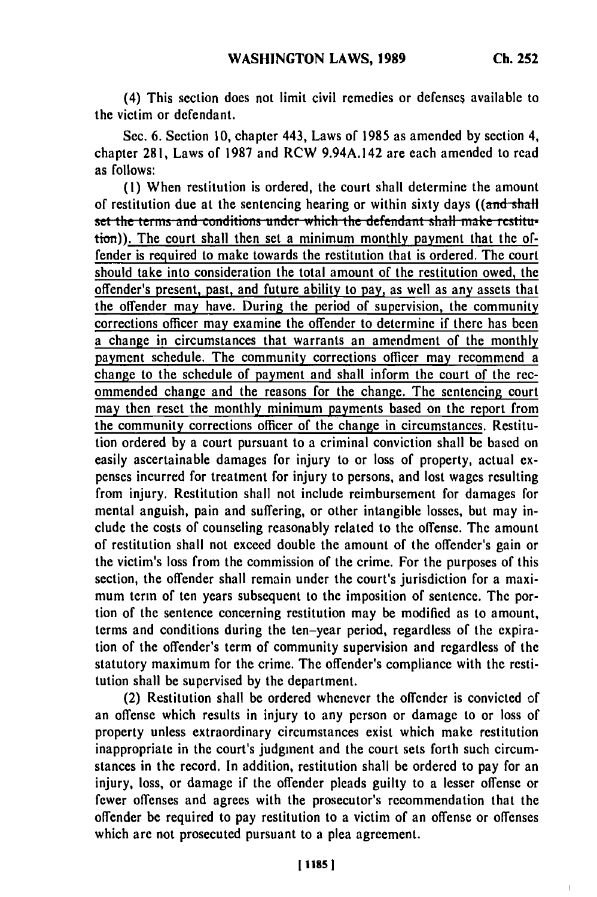$\overline{1}$ 

(4) This section does not limit civil remedies or defenses available to the victim or defendant.

Sec. **6.** Section **10,** chapter 443, Laws of **1985** as amended **by** section 4, chapter **281,** Laws of **1987** and RCW 9.94A.142 are each amended to read as follows:

**(1)** When restitution is ordered, the court shall determine the amount of restitution due at the sentencing hearing or within sixty days ((and shall set the terms and conditions under which the defendant shall make restitu-<br>tion)). The court shall then set a minimum monthly payment that the offender is required to make towards the restitution that is ordered. The court should take into consideration the total amount of the restitution owed, the offender's present, past, and future ability to pay, as well as any assets that the offender may have. During the period of supervision, the community corrections officer may examine the offender to determine if there has been a change in circumstances that warrants an amendment of the monthly payment schedule. The community corrections officer may recommend a change to the schedule of payment and shall inform the court of the recommended change and the reasons for the change. The sentencing court may then reset the monthly minimum payments based on the report from the community corrections officer of the change in circumstances. Restitution ordered by a court pursuant to a criminal conviction shall be based on easily ascertainable damages for injury to or loss of property, actual expenses incurred for treatment for injury to persons, and lost wages resulting from injury. Restitution shall not include reimbursement for damages for mental anguish, pain and suffering, or other intangible losses, but may include the costs of counseling reasonably related to the offense. The amount of restitution shall not exceed double the amount of the offender's gain or the victim's loss from the commission of the crime. For the purposes of this section, the offender shall remain under the court's jurisdiction for a maximum term of ten years subsequent to the imposition of sentence. The portion of the sentence concerning restitution may be modified as to amount, terms and conditions during the ten-year period, regardless of the expiration of the offender's term of community supervision and regardless of the statutory maximum for the crime. The offender's compliance with the restitution shall be supervised by the department.

(2) Restitution shall be ordered whenever the offender is convicted of an offense which results in injury to any person or damage to or loss of property unless extraordinary circumstances exist which make restitution inappropriate in the court's judgment and the court sets forth such circumstances in the record. In addition, restitution shall be ordered to pay for an injury, loss, or damage if the offender pleads guilty to a lesser offense or fewer offenses and agrees with the prosecutor's recommendation that the offender be required to pay restitution to a victim of an offense or offenses which are not prosecuted pursuant to a plea agreement.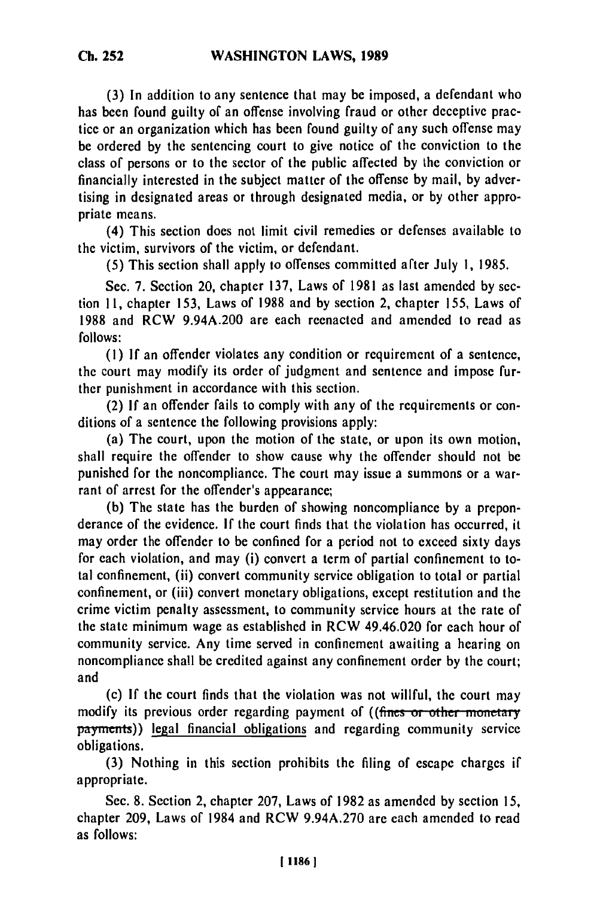**(3)** In addition to any sentence that may be imposed, a defendant who has been found guilty of an offense involving fraud or other deceptive practice or an organization which has been found guilty of any such offense may be ordered **by** the sentencing court to give notice of the conviction to the class of persons or to the sector of the public affected **by** the conviction or financially interested in the subject matter of the offense **by** mail, **by** advertising in designated areas or through designated media, or **by** other appropriate means.

(4) This section does not limit civil remedies or defenses available to the victim, survivors of the victim, or defendant.

**(5)** This section shall apply to offenses committed after July **1, 1985.**

Sec. **7.** Section 20, chapter **137,** Laws of **1981** as last amended **by** section **I1,** chapter **153,** Laws of **1988** and **by** section 2, chapter **155,** Laws of **1988** and RCW 9.94A.200 are each reenacted and amended to read as **follows:**

*(1)* **If** an offender violates any condition or requirement of a sentence, the court may modify its order of judgment and sentence and impose further punishment in accordance with this section.

(2) **If** an offender fails to comply with any of the requirements or conditions of a sentence the following provisions apply:

(a) The court, upon the motion of the state, or upon its own motion, shall require the offender to show cause why the offender should not **be** punished for the noncompliance. The court may issue a summons or a warrant of arrest for the offender's appearance;

**(b)** The state has the burden of showing noncompliance **by** a preponderance of the evidence. **If** the court finds that the violation has occurred, it may order the offender to be confined for a period not to exceed sixty days for each violation, and may (i) convert a term of partial confinement to total confinement, (ii) convert community service obligation to total or partial confinement, or (iii) convert monetary obligations, except restitution and the crime victim penalty assessment, to community service hours at the rate of the state minimum wage as established in RCW 49.46.020 for each hour of community service. Any time served in confinement awaiting a hearing on noncompliance shall **be** credited against any confinement order **by** the court; and

(c) **If** the court finds that the violation was not willful, the court may modify its previous order regarding payment of ((fines or other monetary payments)) legal financial obligations and regarding community service obligations.

**(3)** Nothing in this section prohibits the filing of escape charges if appropriate.

Sec. **8.** Section 2, chapter **207,** Laws of **1982** as amended **by** section **15,** chapter **209,** Laws of 1984 and RCW **9.94A.270** are each amended to read as follows: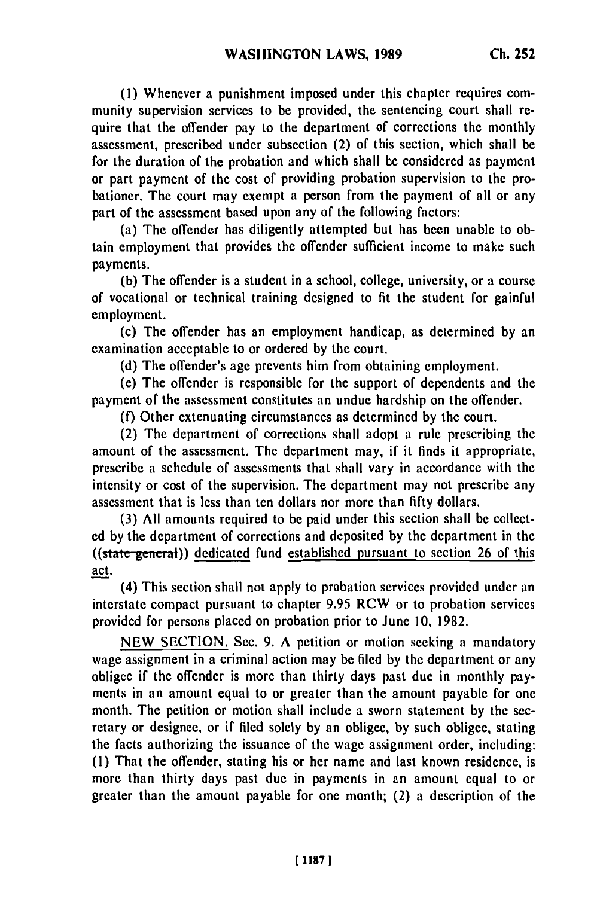**(1)** Whenever a punishment imposed under this chapter requires community supervision services to be provided, the sentencing court shall require that the offender pay to the department of corrections the monthly assessment, prescribed under subsection (2) of this section, which shall be for the duration of the probation and which shall be considered as payment or part payment of the cost of providing probation supervision to the probationer. The court may exempt a person from the payment of all or any part of the assessment based upon any of the following factors:

(a) The offender has diligently attempted but has been unable to obtain employment that provides the offender sufficient income to make such payments.

**(b)** The offender is a student in a school, college, university, or a course of vocational or technical training designed to fit the student for gainful employment.

(c) The offender has an employment handicap, as determined **by** an examination acceptable to or ordered **by** the court.

**(d)** The offender's age prevents him from obtaining employment.

(e) The offender is responsible for the support of dependents and the payment of the assessment constitutes an undue hardship on the offender.

**(f)** Other extenuating circumstances as determined **by** the court.

(2) The department of corrections shall adopt a rule prescribing the amount of the assessment. The department may, if it finds it appropriate, prescribe a schedule of assessments that shall vary in accordance with the intensity or cost of the supervision. The department may not prescribe any assessment that is less than ten dollars nor more than **fifty** dollars.

**(3) All** amounts required to be paid under this section shall **be** collect**ed by** the department of corrections and deposited **by** the department in the  $((state<sub>general</sub>))$  dedicated fund established pursuant to section 26 of this act.

(4) This section shall not apply to probation services provided under an interstate compact pursuant to chapter 9.95 RCW or to probation services provided for persons placed on probation prior to June **10,** 1982.

**NEW** SECTION. Sec. 9. A petition or motion seeking a mandatory wage assignment in a criminal action may be filed **by** the department or any obligee if the offender is more than thirty days past due in monthly payments in an amount equal to or greater than the amount payable for one month. The petition or motion shall include a sworn statement **by** the secretary or designee, or if filed solely **by** an obligee, **by** such obligee, stating the facts authorizing the issuance of the wage assignment order, including: **(1)** That the offender, stating his or her name and last known residence, is more than thirty days past due in payments in an amount equal to or greater than the amount payable for one month; (2) a description of the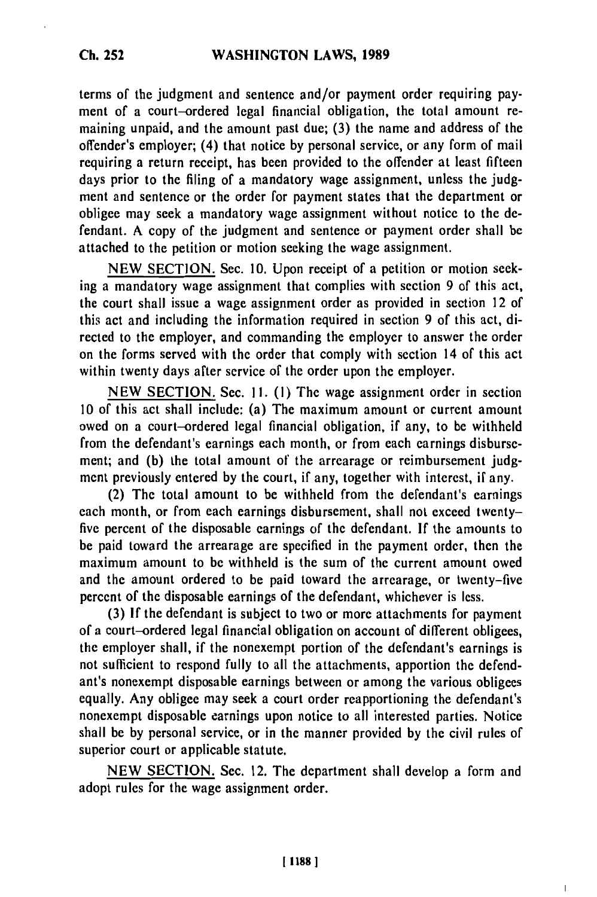terms of the judgment and sentence and/or payment order requiring payment of a court-ordered legal financial obligation, the total amount remaining unpaid, and the amount past due; (3) the name and address of the offender's employer; (4) that notice by personal service, or any form of mail requiring a return receipt, has been provided to the offender at least fifteen days prior to the filing of a mandatory wage assignment, unless the judgment and sentence or the order for payment states that the department or obligee may seek a mandatory wage assignment without notice to the defendant. A copy of the judgment and sentence or payment order shall be attached to the petition or motion seeking the wage assignment.

NEW SECTION. Sec. 10. Upon receipt of a petition or motion seeking a mandatory wage assignment that complies with section 9 of this act, the court shall issue a wage assignment order as provided in section 12 of this act and including the information required in section 9 of this act, directed to the employer, and commanding the employer to answer the order on the forms served with the order that comply with section 14 of this act within twenty days after service of the order upon the employer.

NEW SECTION. Sec. **11.** (I) The wage assignment order in section 10 of this act shall include: (a) The maximum amount or current amount owed on a court-ordered legal financial obligation, if any, to be withheld from the defendant's earnings each month, or from each earnings disbursement; and (b) the total amount of the arrearage or reimbursement judgment previously entered by the court, if any, together with interest, if any.

(2) The total amount to be withheld from the defendant's earnings each month, or from each earnings disbursement, shall not exceed twentyfive percent of the disposable earnings of the defendant. If the amounts to be paid toward the arrearage are specified in the payment order, then the maximum amount to be withheld is the sum of the current amount owed and the amount ordered to be paid toward the arrearage, or twenty-five percent of the disposable earnings of the defendant, whichever is less.

(3) If the defendant is subject to two or more attachments for payment of a court-ordered legal financial obligation on account of different obligees, the employer shall, if the nonexempt portion of the defendant's earnings is not sufficient to respond fully to all the attachments, apportion the defendant's nonexempt disposable earnings between or among the various obligees equally. Any obligee may seek a court order reapportioning the defendant's nonexempt disposable earnings upon notice to all interested parties. Notice shall be by personal service, or in the manner provided by the civil rules of superior court or applicable statute.

NEW SECTION. Sec. 12. The department shall develop a form and adopt rules for the wage assignment order.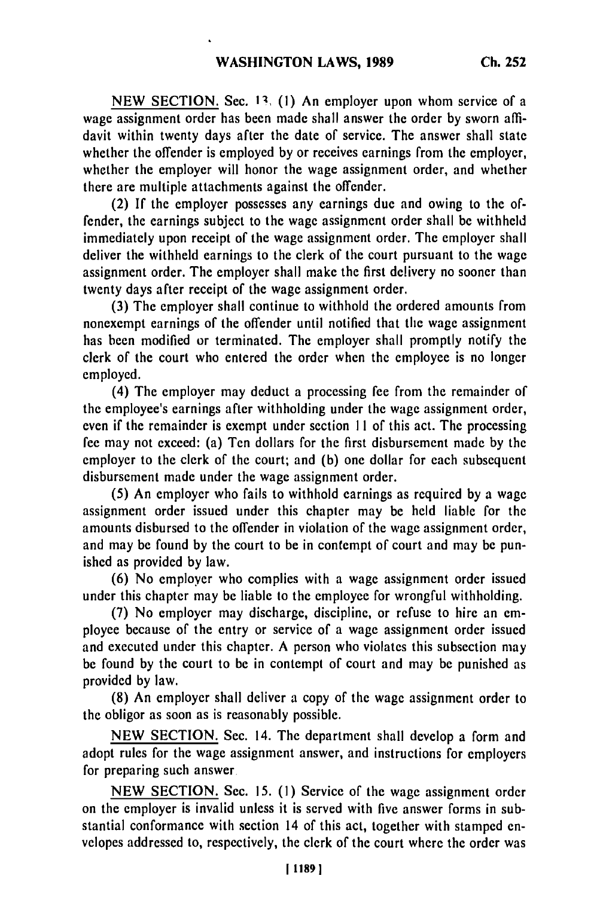NEW SECTION. Sec. 13. (1) An employer upon whom service of a wage assignment order has been made shall answer the order **by** sworn affidavit within twenty days after the date of service. The answer shall state whether the offender is employed **by** or receives earnings from the employer, whether the employer will honor the wage assignment order, and whether there are multiple attachments against the offender.

(2) If the employer possesses any earnings due and owing to the offender, the earnings subject to the wage assignment order shall be withheld immediately upon receipt of the wage assignment order. The employer shall deliver the withheld earnings to the clerk of the court pursuant to the wage assignment order. The employer shall make the first delivery no sooner than twenty days after receipt of the wage assignment order.

(3) The employer shall continue to withhold the ordered amounts from nonexempt earnings of the offender until notified that the wage assignment has been modified or terminated. The employer shall promptly notify the clerk of the court who entered the order when the employee is no longer employed.

(4) The employer may deduct a processing fee from the remainder of the employee's earnings after withholding under the wage assignment order, even if the remainder is exempt under section **II** of this act. The processing fee may not exceed: (a) Ten dollars for the first disbursement made by the employer to the clerk of the court; and **(b)** one dollar for each subsequent disbursement made under the wage assignment order.

(5) An employer who fails to withhold earnings as required by a wage assignment order issued under this chapter may be held liable for the amounts disbursed to the offender in violation of the wage assignment order, and may be found by the court to be in contempt of court and may **be** punished as provided by law.

(6) No employer who complies with a wage assignment order issued under this chapter may be liable to the employee for wrongful withholding.

(7) No employer may discharge, discipline, or refuse to hire an employee because of the entry or service of a wage assignment order issued and executed under this chapter. A person who violates this subsection may be found by the court to be in contempt of court and may be punished as provided by law.

(8) An employer shall deliver a copy of the wage assignment order to the obligor as soon as is reasonably possible.

NEW SECTION. Sec. 14. The department shall develop a form and adopt rules for the wage assignment answer, and instructions for employers for preparing such answer

NEW SECTION. Sec. 15. **(1)** Service of the wage assignment order on the employer is invalid unless it is served with five answer forms in substantial conformance with section 14 of this act, together with stamped envelopes addressed to, respectively, the clerk of the court where the order was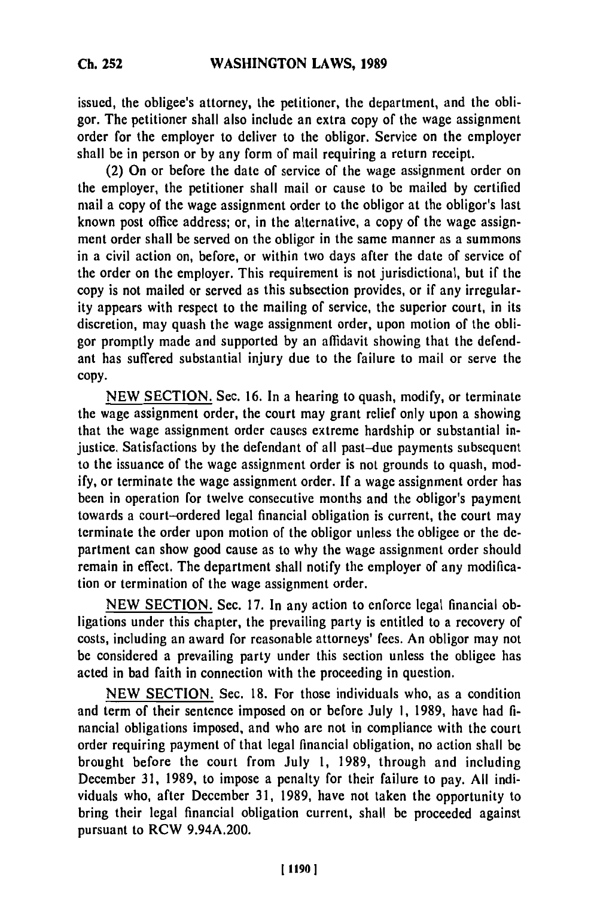issued, the obligee's attorney, the petitioner, the department, and the obligor. The petitioner shall also include an extra copy of the wage assignment order for the employer to deliver to the obligor. Service on the employer shall be in person or **by** any form of mail requiring a return receipt.

(2) On or before the date of service of the wage assignment order on the employer, the petitioner shall mail or cause to **be** mailed **by** certified mail a copy of the wage assignment order to the obligor at the obligor's last known post office address; or, in the alternative, a copy of the wage assignment order shall be served on the obligor in the same manner as a summons in a civil action on, before, or within two days after the date of service of the order on the employer. This requirement is not jurisdictional, but if the copy is not mailed or served as this subsection provides, or if any irregularity appears with respect to the mailing of service, the superior court, in its discretion, may quash the wage assignment order, upon motion of the obligor promptly made and supported **by** an affidavit showing that the defendant has suffered substantial injury due to the failure to mail or serve the **copy.**

**NEW SECTION.** Sec. **16.** In a hearing to quash, modify, or terminate the wage assignment order, the court may grant relief only upon a showing that the wage assignment order causes extreme hardship or substantial injustice. Satisfactions **by** the defendant of all past-due payments subsequent to the issuance of the wage assignment order is not grounds to quash, mod**ify,** or terminate the wage assignment order. **If** a wage assignment order has been in operation for twelve consecutive months and the obligor's payment towards a court-ordered legal financial obligation is current, the court may terminate the order upon motion of the obligor unless the obligee or the **de**partment can show good cause as to why the wage assignment order should remain in effect. The department shall notify the employer of any modification or termination of the wage assignment order.

**NEW** SECTION. Sec. **17.** In any action to enforce legal financial obligations under this chapter, the prevailing party is entitled to a recovery of costs, including an award for reasonable attorneys' fees. An obligor may not be considered a prevailing party under this section unless the obligee has acted in bad faith in connection with the proceeding in question.

**NEW** SECTION. Sec. **18.** For those individuals who, as a condition and term of their sentence imposed on or before July **1, 1989,** have had **fi**nancial obligations imposed, and who are not in compliance with the court order requiring payment of that legal financial obligation, no action shall be brought before the court from July **1, 1989,** through and including December **31, 1989,** to impose a penalty for their failure to pay. **All** individuals who, after December **31, 1989,** have not taken the opportunity to bring their legal financial obligation current, shall be proceeded against pursuant to RCW 9.94A.200.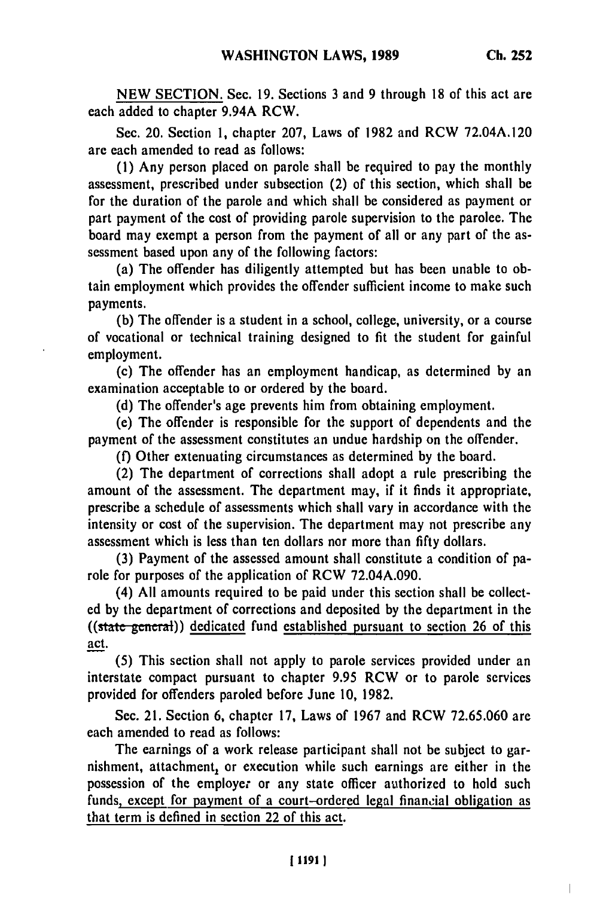$\overline{1}$ 

**NEW SECTION.** Sec. **19.** Sections **3** and 9 through **18** of this act are each added to chapter 9.94A RCW.

Sec. 20. Section **1,** chapter **207,** Laws of **1982** and RCW 72.04A.120 are each amended to read as follows:

**(1)** Any person placed on parole shall be required to pay the monthly assessment, prescribed under subsection (2) of this section, which shall be for the duration of the parole and which shall be considered as payment or part payment of the cost of providing parole supervision to the parolee. The board may exempt a person from the payment of all or any part of the assessment based upon any of the following factors:

(a) The offender has diligently attempted but has been unable to obtain employment which provides the offender sufficient income to make such payments.

**(b)** The offender is a student in a school, college, university, or a course of vocational or technical training designed to fit the student for gainful employment.

(c) The offender has an employment handicap, as determined **by** an examination acceptable to or ordered **by** the board.

**(d)** The offender's age prevents him from obtaining employment.

(e) The offender is responsible for the support of dependents and the payment of the assessment constitutes an undue hardship on the offender.

**(f)** Other extenuating circumstances as determined **by** the board.

(2) The department of corrections shall adopt a rule prescribing the amount of the assessment. The department may, if it finds it appropriate, prescribe a schedule of assessments which shall vary in accordance with the intensity or cost of the supervision. The department may not prescribe any assessment which is less than ten dollars nor more than **fifty** dollars.

**(3)** Payment of the assessed amount shall constitute a condition of parole for purposes of the application of RCW **72.04A.090.**

(4) **All** amounts required to be paid under this section shall be collected **by** the department of corrections and deposited **by** the department in the ((state general)) dedicated fund established pursuant to section **26** of this act.

**(5)** This section shall not apply to parole services provided under an interstate compact pursuant to chapter **9.95** RCW or to parole services provided for offenders paroled before June **10, 1982.**

Sec. 21. Section **6,** chapter **17,** Laws of **1967** and RCW **72.65.060** are each amended to read as follows:

The earnings of a work release participant shall not be subject to garnishment, attachment, or execution while such earnings are either in the possession of the employer or any state officer authorized to hold such funds, except for payment of a court-ordered legal financial obligation as that term is defined in section 22 of this act.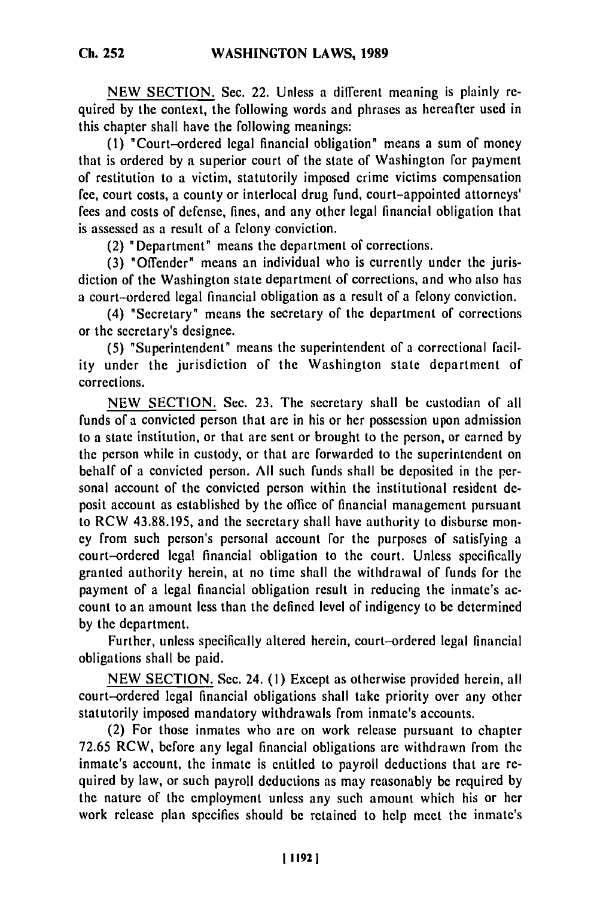**Ch. 252**

NEW SECTION. Sec. 22. Unless a different meaning is plainly required by the context, the following words and phrases as hereafter used in this chapter shall have the following meanings:

**(1)** "Court-ordered legal financial obligation" means a sum of money that is ordered by a superior court of the state of Washington for payment of restitution to a victim, statutorily imposed crime victims compensation fee, court costs, a county or interlocal drug fund, court-appointed attorneys' fees and costs of defense, fines, and any other legal financial obligation that is assessed as a result of a felony conviction.

(2) 'Department" means the department of corrections.

(3) "Offender" means an individual who is currently under the jurisdiction of the Washington state department of corrections, and who also has a court-ordered legal financial obligation as a result of a felony conviction.

(4) "Secretary" means the secretary of the department of corrections or the secretary's designee.

(5) "Superintendent" means the superintendent of a correctional facility under the jurisdiction of the Washington state department of corrections.

NEW SECTION. Sec. 23. The secretary shall be custodian of all funds of a convicted person that are in his or her possession upon admission to a state institution, or that are sent or brought to the person, or earned by the person while in custody, or that are forwarded to the superintendent on behalf of a convicted person. All such funds shall be deposited in the personal account of the convicted person within the institutional resident deposit account as established by the office of financial management pursuant to RCW 43.88.195, and the secretary shall have authority to disburse money from such person's personal account for the purposes of satisfying a court-ordered legal financial obligation to the court. Unless specifically granted authority herein, at no time shall the withdrawal of funds for the payment of a legal financial obligation result in reducing the inmate's account to an amount less than the defined level of indigency to be determined by the department.

Further, unless specifically altered herein, court-ordered legal financial obligations shall be paid.

NEW SECTION. Sec. 24. **(1)** Except as otherwise provided herein, all court-ordered legal financial obligations shall take priority over any other statutorily imposed mandatory withdrawals from inmate's accounts.

(2) For those inmates who are on work release pursuant to chapter 72.65 RCW, before any legal financial obligations are withdrawn from the inmate's account, the inmate is entitled to payroll deductions that are required by law, or such payroll deductions as may reasonably be required by the nature of the employment unless any such amount which his or her work release plan specifies should be retained to help meet the inmate's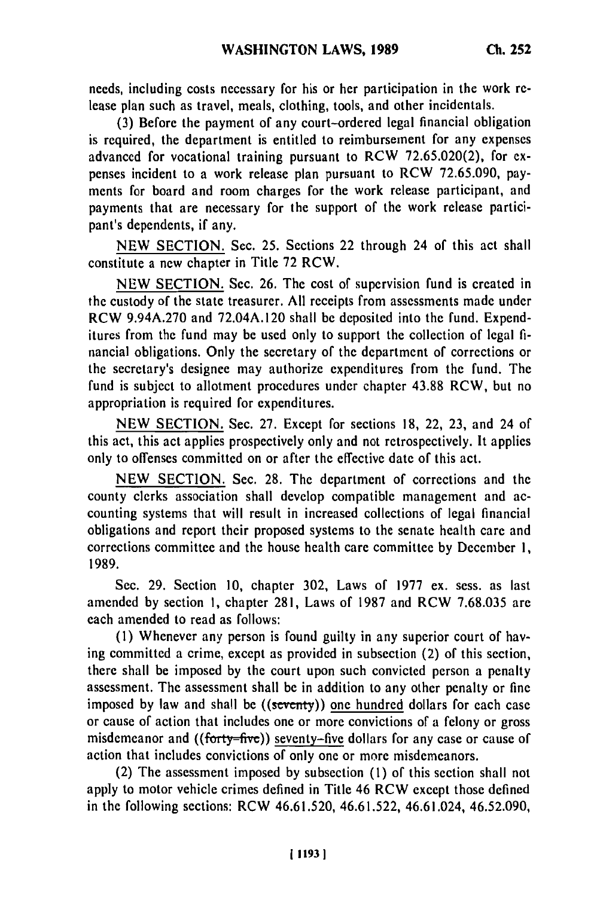needs, including costs necessary for his or her participation in the work release plan such as travel, meals, clothing, tools, and other incidentals.

(3) Before the payment of any court-ordered legal financial obligation is required, the department is entitled to reimbursement for any expenses advanced for vocational training pursuant to RCW 72.65.020(2), for expenses incident to a work release plan pursuant to RCW 72.65.090, payments for board and room charges for the work release participant, and payments that are necessary for the support of the work release participant's dependents, if any.

NEW SECTION. Sec. 25. Sections 22 through 24 of this act shall constitute a new chapter in Title 72 RCW.

NEW SECTION. Sec. 26. The cost of supervision fund is created in the custody of the state treasurer. All receipts from assessments made under RCW 9.94A.270 and 72.04A.120 shall be deposited into the fund. Expenditures from the fund may be used only to support the collection of legal financial obligations. Only the secretary of the department of corrections or the secretary's designee may authorize expenditures from the fund. The fund is subject to allotment procedures under chapter 43.88 RCW, but no appropriation is required for expenditures.

NEW SECTION. Sec. 27. Except for sections 18, 22, 23, and 24 of this act, this act applies prospectively only and not retrospectively. It applies only to offenses committed on or after the effective date of this act.

NEW SECTION. Sec. 28. The department of corrections and the county clerks association shall develop compatible management and accounting systems that will result in increased collections of legal financial obligations and report their proposed systems to the senate health care and corrections committee and the house health care committee by December 1, 1989.

Sec. 29. Section 10, chapter 302, Laws of 1977 ex. sess. as last amended by section **1,** chapter 281, Laws of 1987 and RCW 7.68.035 are each amended to read as follows:

**(1)** Whenever any person is found guilty in any superior court of having committed a crime, except as provided in subsection (2) of this section, there shall be imposed by the court upon such convicted person a penalty assessment. The assessment shall be in addition to any other penalty or fine imposed by law and shall be  $((\text{seventy}))$  one hundred dollars for each case or cause of action that includes one or more convictions of a felony or gross misdemeanor and  $((forty=fiv $e$ ))$  seventy-five dollars for any case or cause of action that includes convictions of only one or more misdemeanors.

(2) The assessment imposed by subsection **(1)** of this section shall not apply to motor vehicle crimes defined in Title 46 RCW except those defined in the following sections: RCW 46.61.520, 46.61.522, 46.61.024, 46.52.090,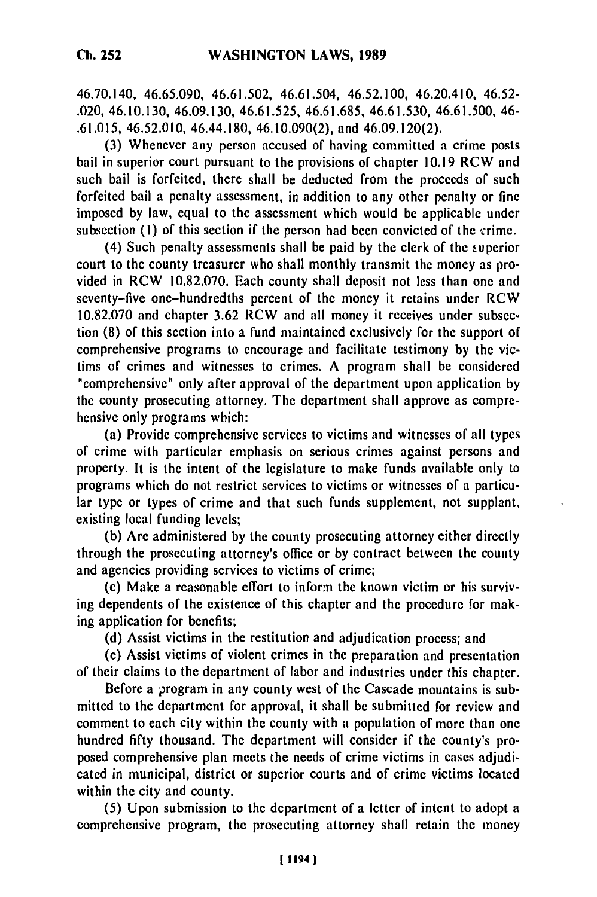46.70.140, 46.65.090, 46.61.502, 46.61.504, 46.52.100, 46.20.410, 46.52- .020, 46.10.130, 46.09.130, 46.61.525, 46.61.685, 46.61.530, 46.61.500, 46- .61.015, 46.52.010, 46.44.180, 46.10.090(2), and 46.09.120(2).

(3) Whenever any person accused of having committed a crime posts bail in superior court pursuant to the provisions of chapter **10.19** RCW and such bail is forfeited, there shall be deducted from the proceeds of such forfeited bail a penalty assessment, in addition to any other penalty or fine imposed by law, equal to the assessment which would be applicable under subsection  $(1)$  of this section if the person had been convicted of the crime.

(4) Such penalty assessments shall be paid by the clerk of the superior court to the county treasurer who shall monthly transmit the money as provided in RCW 10.82.070. Each county shall deposit not less than one and seventy-five one-hundredths percent of the money it retains under RCW 10.82.070 and chapter 3.62 RCW and all money it receives under subsection (8) of this section into a fund maintained exclusively for the support of comprehensive programs to encourage and facilitate testimony by the victims of crimes and witnesses to crimes. A program shall be considered "comprehensive" only after approval of the department upon application by the county prosecuting attorney. The department shall approve as comprehensive only programs which:

(a) Provide comprehensive services to victims and witnesses of all types of crime with particular emphasis on serious crimes against persons and property. It is the intent of the legislature to make funds available only to programs which do not restrict services to victims or witnesses of a particular type or types of crime and that such funds supplement, not supplant, existing local funding levels;

**(b)** Are administered **by** the county prosecuting attorney either directly through the prosecuting attorney's office or by contract between the county and agencies providing services to victims of crime;

(c) Make a reasonable effort to inform the known victim or his surviving dependents of the existence of this chapter and the procedure for making application for benefits;

**(d)** Assist victims in the restitution and adjudication process; and

(e) Assist victims of violent crimes in the preparation and presentation of their claims to the department of labor and industries under this chapter.

Before a program in any county west of the Cascade mountains is submitted to the department for approval, it shall **be** submitted for review and comment to each city within the county with a population of more than one hundred fifty thousand. The department will consider if the county's proposed comprehensive plan meets the needs of crime victims in cases adjudicated in municipal, district or superior courts and of crime victims located within the city and county.

(5) Upon submission to the department of a letter of intent to adopt a comprehensive program, the prosecuting attorney shall retain the money